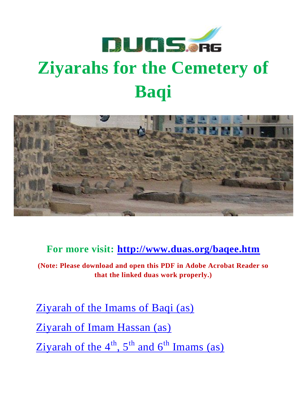

# <span id="page-0-0"></span>**Ziyarahs for the Cemetery of Baqi**



**For more visit:<http://www.duas.org/baqee.htm>**

**(Note: Please download and open this PDF in Adobe Acrobat Reader so that the linked duas work properly.)**

[Ziyarah of the Imams of Baqi \(as\)](#page-0-0) [Ziyarah of Imam Hassan \(as\)](#page-15-0) Ziyarah of the  $4^{th}$ ,  $5^{th}$  and  $6^{th}$  Imams (as)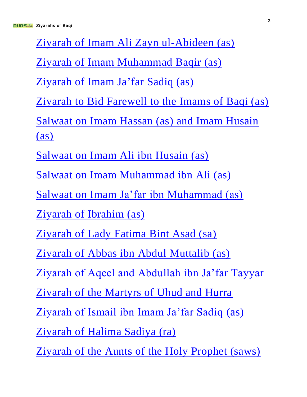[Ziyarah of Imam Ali Zayn ul-Abideen \(as\)](#page-23-0)

[Ziyarah of Imam Muhammad Baqir \(as\)](#page-25-0)

[Ziyarah of Imam Ja'far Sadiq \(as\)](#page-28-0)

[Ziyarah to Bid Farewell to the Imams of Baqi \(as\)](#page-29-0)

[Salwaat on Imam Hassan \(as\) and Imam Husain](#page-31-0)  [\(as\)](#page-31-0)

[Salwaat on Imam Ali ibn Husain \(as\)](#page-39-0)

[Salwaat on Imam Muhammad ibn Ali \(as\)](#page-41-0)

[Salwaat on Imam Ja'far ibn Muhammad \(as\)](#page-44-0)

[Ziyarah of Ibrahim \(as\)](#page-46-0)

[Ziyarah of Lady Fatima Bint Asad \(sa\)](#page-56-0)

[Ziyarah of Abbas ibn Abdul Muttalib \(as\)](#page-65-0)

[Ziyarah of Aqeel and Abdullah ibn Ja'far Tayyar](#page-67-0)

[Ziyarah of the Martyrs of Uhud and Hurra](#page-68-0)

[Ziyarah of Ismail ibn Imam Ja'far Sadiq](#page-70-0) (as)

[Ziyarah of Halima Sadiya \(ra\)](#page-72-0)

[Ziyarah of the Aunts of the Holy Prophet \(saws\)](#page-73-0)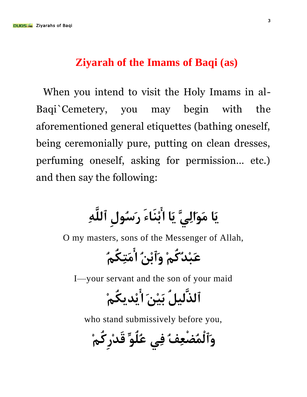#### **Ziyarah of the Imams of Baqi (as)**

When you intend to visit the Holy Imams in al-Baqi`Cemetery, you may begin with the aforementioned general etiquettes (bathing oneself, being ceremonially pure, putting on clean dresses, perfuming oneself, asking for permission… etc.) and then say the following:

# ِيَا<sub>ْ</sub> مَوَالِيٍّ يَا اُبْنَاءَ رَسُولِ ٱللَّٰهِ

O my masters, sons of the Messenger of Allah,

عَبْ**د**ُكُمْ وَٱنْبُ أَمَتكُمُ

I—your servant and the son of your maid

### ٱ**ُلذَّليل**ُ بَبْنَ أَنْدِيكُمْ

who stand submissively before you,

و*َٱ*لْمُضْعِفُ فِي عُلُوِّ قَدْرِ كُمْ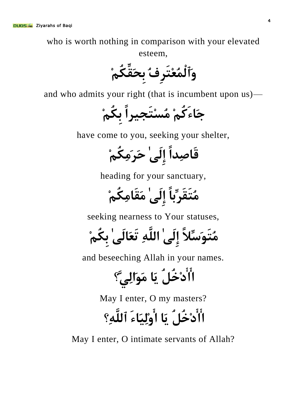who is worth nothing in comparison with your elevated esteem,

**َٚٱٌُّْعِزَشِفُ ثِسَمِّىُُِ**

and who admits your right (that is incumbent upon us)—

**خَبءَوُُِ ُِسِزَد١شاً ثِىُُِ**

have come to you, seeking your shelter,

**لَبصِذاً إٌَِٰٝ زَشَِِىُُِ**

heading for your sanctuary,

**ُِزَمَشِّثبً إٌَِٰٝ َِمَبِِىُُِ**

seeking nearness to Your statuses,

**ُِزََٛسِّلًََ إٌَِٰٝ اٌٍَِّٗ رَعَبٌَٰٝ ثِىُُِ**

and beseeching Allah in your names.

**اادِخًُُ َ٠ب ََِٛاٌَِّٟ؟**

May I enter, O my masters?

**اادِخًُُ َ٠ب اَ١ٌِِٚبءَ ٱٌٍَِّٗ؟**

May I enter, O intimate servants of Allah?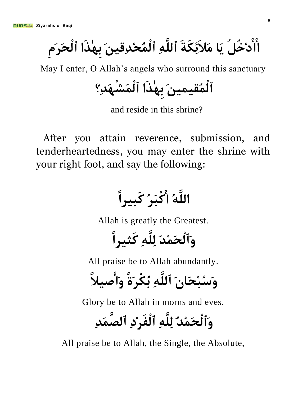اَأَدْخُلٌ يَا مَلاَئِكَةَ ٱللَّهِ ٱلْمُحْدِقِينَ بِهٰذَا ٱلْحَرَم

May I enter, O Allah's angels who surround this sanctuary

ٱلْمُّقيمينَ بِهٰذَا ٱلْمَشْهَدِ؟

and reside in this shrine?

After you attain reverence, submission, and tenderheartedness, you may enter the shrine with your right foot, and say the following:

اللَّهُ ا<sup>ُ</sup>َكْبَرُ كَبِيراً

Allah is greatly the Greatest.

وَٱلْحَمْدُ لِلَّه*ِ* كَثِيراً

All praise be to Allah abundantly.

وَسُبْحَا<sub>ًا</sub> ِ ٱللَّٰهِ تُكْر<sup>ِ</sup>ّةً وَأَصْلاً

Glory be to Allah in morns and eves.

**َٚٱٌْسَِّذُ ٌٍَِِّٗ ٱٌْفَشِدِ ٱٌصََّّذِ**

All praise be to Allah, the Single, the Absolute,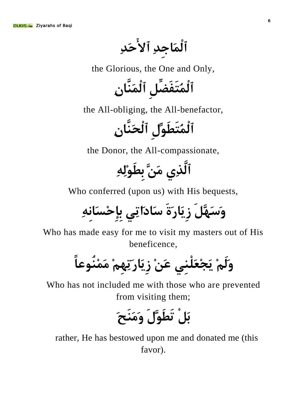**ٱٌَّْبخِذِ ٱالزَذِ**

the Glorious, the One and Only,

**ٱٌُّْزَفَضًِِّ ٱٌََّّْٕبِْ**

the All-obliging, the All-benefactor,

ٱلْمُتَطَوِّلِ ٱلْحَنَّانِ

the Donor, the All-compassionate,

ٱلَّذِی مَنَّ بِط<u>َوْلِ</u>هِ

Who conferred (upon us) with His bequests,

وَسَهَّلَ زِيَارَةَ سَادَاتِي بإِحْسَانهِ

Who has made easy for me to visit my masters out of His beneficence,

وَلَمْ يَجْعَلْنِي عَنْ زِيَار**َتِهِمْ مَمْنُوعا**ً

Who has not included me with those who are prevented from visiting them;

**ثًَْ رَغََّٛيَ َََِٕٚرَ**

rather, He has bestowed upon me and donated me (this favor).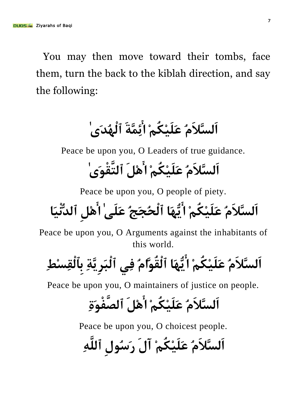You may then move toward their tombs, face them, turn the back to the kiblah direction, and say the following:

## **اٌَسَّلََُ عِ١ٍََىُُِ ائَِّّخَ ٱٌُْٙذَٰٜ**

Peace be upon you, O Leaders of true guidance.

## **اٌَسَّلََُ عِ١ٍََىُُِ اًَِ٘ ٱٌزَّمَْٰٜٛ**

Peace be upon you, O people of piety.

**اٌَسَّلََُ عِ١ٍََىُُِ اَُّٙ٠ب ٱٌْسُدَحُ عٍََٰٝ اًِِ٘ ٱٌذَ١ُّْٔب**

Peace be upon you, O Arguments against the inhabitants of this world.

**اٌَسَّلََُ عِ١ٍََىُُِ اَُّٙ٠ب ٱٌْمَُّٛاَُ فِٟ ٱٌْجَشَّ٠ِخِ ثِٱٌْمِسِظِ**

Peace be upon you, O maintainers of justice on people.

# ا*َ*لسَّلاَمُ عَلَيْكُمْ ا<sup>ِ</sup>َّهْلَ ٱلصَّفْوَة

Peace be upon you, O choicest people.

اَلسَّلاَمُ عَلَيْكُمْ آلَ رَسُولِ ٱللَّٰهِ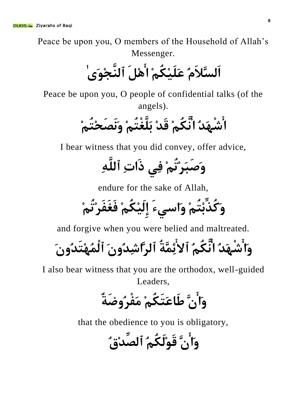Peace be upon you, O members of the Household of Allah's Messenger.

**اٌَسَّلََُ عِ١ٍََىُُِ اًَِ٘ ٱٌَّٕدَِٰٜٛ**

Peace be upon you, O people of confidential talks (of the angels).

**اشَْٙذُ أَّىُُِ لَذِ ثٍََّغْزُُِ ََٔٚصَسِزُُِ**

I bear witness that you did convey, offer advice,

**َٚصَجَشِرُُِ فِٟ رَادِ ٱٌٍَِّٗ**

endure for the sake of Allah,

**َٚوُزِّثِزُُِ َٚاسٟءَ إِ١ٌَِىُُِ فَغَفَشِرُُِ**

and forgive when you were belied and maltreated.

**َٚاشَْٙذُ أَّىُُُ ٱالئَِّّخُ ٱٌشَّاشِذَُْٚ ٱٌُِّْٙزَذَُْٚ**

I also bear witness that you are the orthodox, well-guided Leaders,

**َٚاَّْ عَبعَزَىُُِ َِفْشُٚضَخٌ**

that the obedience to you is obligatory,

و*َ*أَنَّ قَوْلَكُمُ ٱلصِّد<sub>ٰ</sub>ٰٓة*ِ،*ُ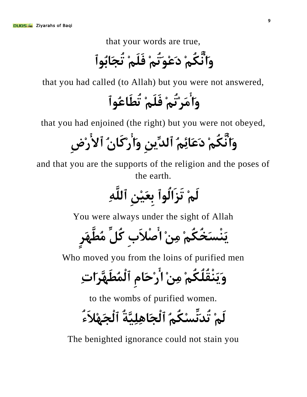that your words are true,

**َٚأَّىُُِ دَعَِٛرُُِ فٍََُِ رُدَبثُٛٱ**

that you had called (to Allah) but you were not answered,

و*َأ*ْمَرْتُمْ فَلَمْ تُطَاعُواْ

that you had enjoined (the right) but you were not obeyed,

**َٚأَّىُُِ دَعَبئُُِ ٱٌذِٓ٠ِّ َٚاسِوَبُْ ٱالسِضِ**

and that you are the supports of the religion and the poses of the earth.

**ٌَُِ رَضَاٌُٛٱ ثِعِِٓ١َ ٱٌٍَِّٗ**

You were always under the sight of Allah

**َْٕ٠سَخُىُُِ ِِِٓ اصْلَةِ وًُِّ ُِغََّٙشٍ**

Who moved you from the loins of purified men

وَيَنْقُلُكُمْ مِنْ أَرْحَام ٱلْمُطَهَّرَاتِ

to the wombs of purified women.

**ٌَُِ رُذَِّٔسِىُُُ ٱٌْدَبَّ١ٍِِ٘خُ ٱٌْدَِٙلَءُ**

The benighted ignorance could not stain you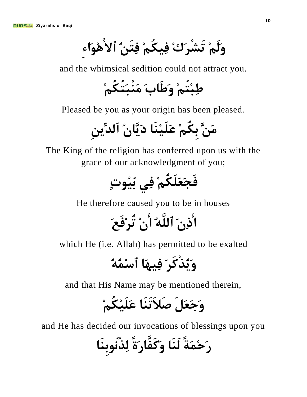وَلَ<sub>َّم</sub>ْ تَشْرَكْ فِيكُمْ فِتَنُ ٱلأَهْوَاء

and the whimsical sedition could not attract you.

**عِجِزُُِ َٚعَبةَ َِْٕجَزُىُُِ**

Pleased be you as your origin has been pleased.

**ََِّٓ ثِىُُِ عَِٕ١ٍََب دَّ٠َبُْ ٱٌذِٓ٠ِّ**

The King of the religion has conferred upon us with the grace of our acknowledgment of you;

**فَدَعٍََىُُِ فِٟ ثُٛ١ُدٍ**

He therefore caused you to be in houses

**ارَِْ ٱٌٍَُّٗ اِْ رُشِفَعَ**

which He (i.e. Allah) has permitted to be exalted

**ُ٠َٚزْوَشَ فَٙ١ِب ٱسُُِّٗ**

and that His Name may be mentioned therein,

### وَجَعَلَ صَلاَتَنَا عَلَيْكُمْ

and He has decided our invocations of blessings upon you

ر<sup>َحْمَةً لَنَا و*َ*كَفَّارَةً لِنُنُّوبنَا</sup>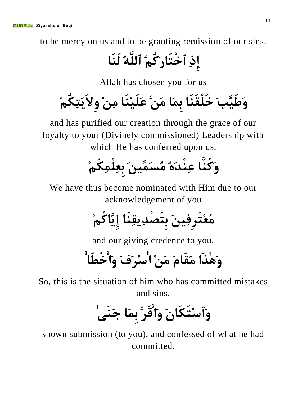to be mercy on us and to be granting remission of our sins.

**إِرِ ٱخْزَبسَوُُُ ٱٌٍَُّٗ ٌََٕب**

Allah has chosen you for us

**َٚعَّ١َتَ خٍَْمََٕب ثَِّب ََِّٓ عَِٕ١ٍََب ِِِٓ ِٚالَ٠َزِىُُِ**

and has purified our creation through the grace of our loyalty to your (Divinely commissioned) Leadership with which He has conferred upon us.

**َٚوَُّٕب عِْٕذَُٖ ُِسَٓ١َِّّ ثِعٍِِّْىُُِ**

We have thus become nominated with Him due to our acknowledgement of you

**ُِعِزَشِفَٓ١ِ ثِزَصْذ٠ِمَِٕب إَّ٠ِبوُُِ**

and our giving credence to you.

**َٰ٘ٚزَا َِمَبَُ َِِٓ اسِشَفَ َٚاخْغَب**

So, this is the situation of him who has committed mistakes and sins,

**َٚٱسِزَىَبَْ َٚالَشَّ ثَِّب خََٰٕٝ**

shown submission (to you), and confessed of what he had committed.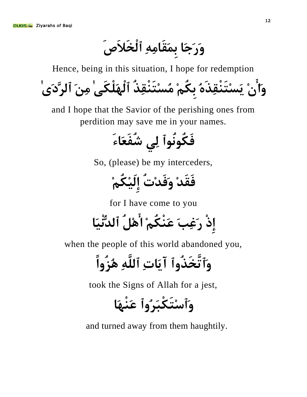وَرَجَا بِمَقَامِهِ ٱلْخَلاَصَ

Hence, being in this situation, I hope for redemption و*َ*اَّنْ يَسْتَنْقِذَهُ بِكُمْ مُسْتَنْقِذُ ٱلْهَلْكَىٰ مِنَ ٱلرَّدَىٰ

and I hope that the Savior of the perishing ones from perdition may save me in your names.

**فَىُُٛٔٛٱ ٌِٟ شُفَعَبءَ**

So, (please) be my interceders,

**فَمَذِ َٚفَذِدُ إِ١ٌَِىُُِ**

for I have come to you

**إِرْ سَغِتَ عَْٕىُُِ اًُِ٘ ٱٌذَ١ُّْٔب**

when the people of this world abandoned you,

**َٚٱرَّخَزُٚٱ آَ٠بدِ ٱٌٍَِّٗ ُ٘ضُٚاً**

took the Signs of Allah for a jest,

**َٚٱسِزَىْجَشُٚٱ عََْٕٙب**

and turned away from them haughtily.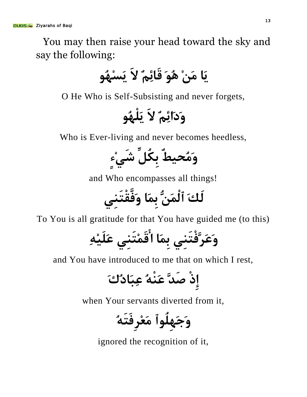You may then raise your head toward the sky and say the following:

ِيَا مَنْ هُوَ قَائِم**ٌ** لاَ يَسْهُو

O He Who is Self-Subsisting and never forgets,



Who is Ever-living and never becomes heedless,



and Who encompasses all things!

لَكَ ٱلْمَنُّ بِمَا وَفَّقْتَن<u>ى</u>

To You is all gratitude for that You have guided me (to this)

**َٚعَشَّفْزَِٕٟ ثَِّب الَِّزَِٕٟ عِِٗ١ٍََ**

and You have introduced to me that on which I rest,

**إِرْ صَذَّ عَُْٕٗ عِجَبدُنَ**

when Your servants diverted from it,

**َٚخٍَُِٛٙٱ َِعِشِفَزَُٗ**

ignored the recognition of it,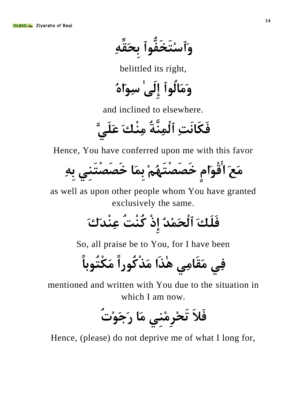**َٚٱسِزَخَفُّٛٱ ثِسَمِِّٗ**

belittled its right,

وَمَالُواْ إِلَىٰ سِوَاهُ

and inclined to elsewhere.

**فَىَبَٔذِ ٱٌَِّّْٕخُ ِِْٕهَ عٍَََّٟ**

Hence, You have conferred upon me with this favor

مَعَ اَُقْوَام خَصَصْتَهُمْ بِمَا خَصَصْتَنى بِهِ

as well as upon other people whom You have granted exclusively the same.

**فٍََهَ ٱٌْسَِّذُ إِرْ وُْٕذُ عِْٕذَنَ**

So, all praise be to You, for I have been

**فِٟ َِمَبِِٟ ٰ٘زَا َِزْوُٛساً َِىْزُٛثبً**

mentioned and written with You due to the situation in which I am now.

**فَلَ رَسِشِِِِٕٟ َِب سَخَِٛدُ**

Hence, (please) do not deprive me of what I long for,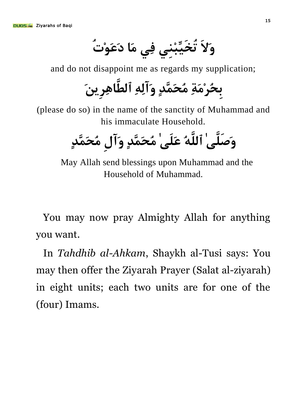**َٚالَ رُخِّ١َجِِٕٟ فِٟ َِب دَعَِٛدُ**

and do not disappoint me as regards my supplication;

**ثِسُشَِِخِ ُِسََّّذٍ َٚآٌِِٗ ٱٌغَّبِ٘شَٓ٠ِ**

(please do so) in the name of the sanctity of Muhammad and his immaculate Household.

وَصَلَّىٰ ٱللَّهُ عَلَىٰ مُحَمَّدٍ وَآلِ مُحَمَّدٍ

May Allah send blessings upon Muhammad and the Household of Muhammad.

You may now pray Almighty Allah for anything you want.

In *Tahdhib al-Ahkam*, Shaykh al-Tusi says: You may then offer the Ziyarah Prayer (Salat al-ziyarah) in eight units; each two units are for one of the (four) Imams.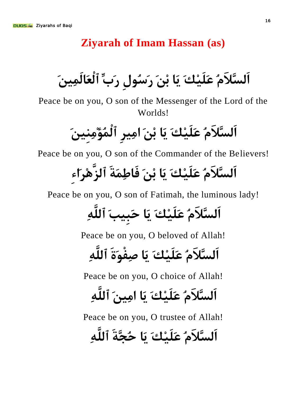#### **Ziyarah of Imam Hassan (as)**

<span id="page-15-0"></span>اَلسَّلاَمُ عَلَيْكَ يَا بْنَ رَسُول رَبِّ ٱلْعَالَمِينَ

Peace be on you, O son of the Messenger of the Lord of the Worlds!

اَلسَّلاَمُ عَلَيْكَ يَا بْنَ امِيرِ ٱلْمُؤْمِنينَ

Peace be on you, O son of the Commander of the Believers!

## **َ اٌَسَّلَُ عِ١ٍََهَ َ٠ب ثَِٓ فَبعَِّخَ ٱٌضَِّ٘شَاءِ**

Peace be on you, O son of Fatimah, the luminous lady!

**َ اٌَسَّلَُ عِ١ٍََهَ َ٠ب زَج١ِتَ ٱٌٍَِّٗ**

Peace be on you, O beloved of Allah!

**َ اٌَسَّلَُ عِ١ٍََهَ َ٠ب صِفَْٛحَ ٱٌٍَِّٗ**

Peace be on you, O choice of Allah!

**َ اٌَسَّلَُ عِ١ٍََهَ َ٠ب آَ١ِِ ٱٌٍَِّٗ**

Peace be on you, O trustee of Allah!

**َ اٌَسَّلَُ عِ١ٍََهَ َ٠ب زُدَّخَ ٱٌٍَِّٗ**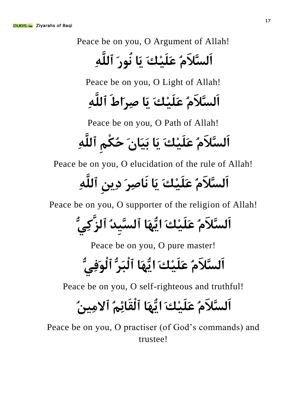Peace be on you, O Argument of Allah!

## **َ اٌَسَّلَُ عِ١ٍََهَ َ٠ب ُٛٔسَ ٱٌٍَِّٗ**

Peace be on you, O Light of Allah!

### **َ اٌَسَّلَُ عِ١ٍََهَ َ٠ب صِشَاطَ ٱٌٍَِّٗ**

Peace be on you, O Path of Allah!

## اَلسَّلاَمُ عَلَيْكَ يَا بَيَانَ حُكْمِ ٱللَّهِ

Peace be on you, O elucidation of the rule of Allah!

## اَلسَّلاَمُ عَلَيْكَ يَا نَاصِرَ دِينِ ٱللَّهِ

Peace be on you, O supporter of the religion of Allah!

# اَلسَّلاَمُ عَلَيْكَ ايُّهَا ٱلسَّيدُ ٱلزَ<sup>َّ</sup>كِيُّ

Peace be on you, O pure master!

## **َ اٌَسَّلَُ عِ١ٍََهَ اَُّٙ٠ب ٱٌْجَشُّ ٱٌَْٛفُِّٟ**

Peace be on you, O self-righteous and truthful!

### **َ اٌَسَّلَُ عِ١ٍََهَ اَُّٙ٠ب ٱٌْمَبئُُِ ٱالُٓ١ِِ**

Peace be on you, O practiser (of God's commands) and trustee!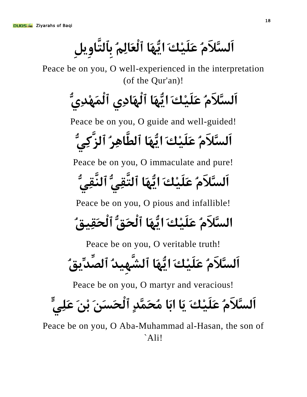**َ اٌَسَّلَُ عِ١ٍََهَ اَُّٙ٠ب ٱٌْعَبٌُُِ ثِٱٌزَّبًِ٠ِٚ**

Peace be on you, O well-experienced in the interpretation (of the Qur'an)!

**َ اٌَسَّلَُ عِ١ٍََهَ اَُّٙ٠ب ٱٌَْٙبدِٞ ٱٌَِّْٙذُِّٞ**

Peace be on you, O guide and well-guided!

**َ اٌَسَّلَُ عِ١ٍََهَ اَُّٙ٠ب ٱٌغَّبِ٘شُ ٱٌضَّوُِّٟ**

Peace be on you, O immaculate and pure!

**َ اٌَسَّلَُ عِ١ٍََهَ اَُّٙ٠ب ٱٌزَّمُِّٟ ٱٌَّٕمُِّٟ**

Peace be on you, O pious and infallible!

**َ اٌسَّلَُ عِ١ٍََهَ اَُّٙ٠ب ٱٌْسَكُّ ٱٌْسَم١ِكُ**

Peace be on you, O veritable truth!

**َ اٌَسَّلَُ عِ١ٍََهَ اَُّٙ٠ب ٱٌش١َِّٙذُ ٱٌصِّذ٠ِّكُ**

Peace be on you, O martyr and veracious!

**َ اٌَسَّلَُ عِ١ٍََهَ َ٠ب اثَب ُِسََّّذٍ ٱٌْسَسََٓ ثَِٓ عٍٍَِّٟ**

Peace be on you, O Aba-Muhammad al-Hasan, the son of `Ali!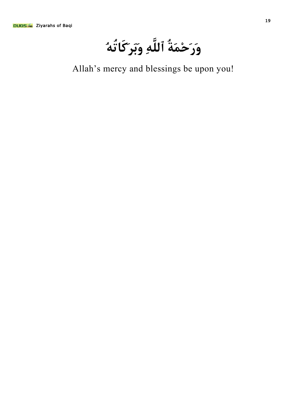وَرَحْمَةُ ٱللَّهِ وَبَر*ِ*كَاتُهُ

Allah's mercy and blessings be upon you!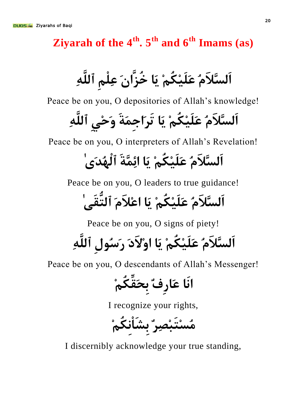<span id="page-19-0"></span>**Ziyarah of the 4<sup>th</sup>. 5<sup>th</sup> and 6<sup>th</sup> Imams (as)** 

**َ اٌَسَّلَُ عِ١ٍََىُُِ َ٠ب خُضَّاَْ عٍُِِْ ٱٌٍَِّٗ**

Peace be on you, O depositories of Allah's knowledge!

**َ اٌَسَّلَُ عِ١ٍََىُُِ َ٠ب رَشَاخَِّخَ َٚزِِٟ ٱٌٍَِّٗ**

Peace be on you, O interpreters of Allah's Revelation!

## **َ اٌَسَّلَُ عِ١ٍََىُُِ َ٠ب ائَِّّخَ ٱٌُْٙذَٰٜ**

Peace be on you, O leaders to true guidance!

**َ اٌَسَّلَُ عِ١ٍََىُُِ َ٠ب ا َ عِلََ ٱٌزُّمَٰٝ**

Peace be on you, O signs of piety!

**َ اٌَسَّلَُ عِ١ٍََىُُِ َ٠ب ا َِٚالدَ سَسُٛيِ ٱٌٍَِّٗ**

Peace be on you, O descendants of Allah's Messenger!

**أَب عَبسِفٌ ثِسَمِّىُُِ**

I recognize your rights,

**ُِسِزَجِصِشٌ ثِشَبِْٔىُُِ**

I discernibly acknowledge your true standing,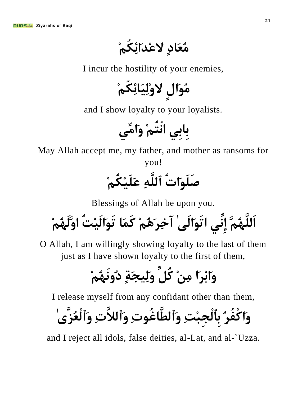**ُِعَبدٍ العِذَائِىُُِ**

I incur the hostility of your enemies,

مُوَالِ لاوْلِيَائِكُمْ

and I show loyalty to your loyalists.

**ثِبثِٟ أْزُُِ َٚاِِّٟ**

May Allah accept me, my father, and mother as ransoms for

you!

صَلَ<sub>ّع</sub>َاتُ ٱللَّٰهِ عَلَيْكُمْ

Blessings of Allah be upon you.

**اٌٍَََُُّّٙ إِِّٟٔ ارََٛاٌَٰٝ آخِشَُُِ٘ وََّب رََٛاِ١ٌَذُ اٌََُُِّٙٚ**

O Allah, I am willingly showing loyalty to the last of them just as I have shown loyalty to the first of them,

**َٚاثِشَا ِِِٓ وًُِّ ١ٌَِٚدَخٍ دَُُُِٙٔٚ**

I release myself from any confidant other than them,

**َٚاوْفُشُ ثِٱٌْدِجِذِ َٚٱٌغَّبغُٛدِ َٚٱٌلَّدِ َٚٱٌْعُضَّٰٜ**

and I reject all idols, false deities, al-Lat, and al-`Uzza.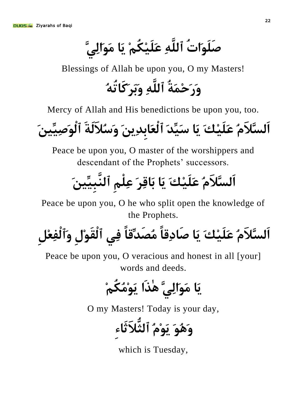صَلَوَاتُ ٱللَّٰهِ عَلَيْكُمْ يَا مَوَالِيَّ

Blessings of Allah be upon you, O my Masters!

**َٚسَزَِّخُ ٱٌٍَِّٗ َٚثَشَوَبرُُٗ**

Mercy of Allah and His benedictions be upon you, too.

**َ اٌَسَّلَُ عِ١ٍََهَ َ٠ب سِّ١َذَ ٱٌْعَبثِذِ َ َٓ٠ َٚسُلٌَخَ ٱٌَْٛصَٓ١ِّ١ِ**

Peace be upon you, O master of the worshippers and descendant of the Prophets' successors.

# اَلسَّلاَمُ عَلَيْكَ يَا بَاقِرَ عِلْمِ ٱلنَّبيِّينَ

Peace be upon you, O he who split open the knowledge of the Prophets.

اَلسَّلاَمُ عَلَيْكَ يَا صَادِقاً مُصَدِّقاً فِي ٱلْقَوْلِ وَٱلْفِعْل

Peace be upon you, O veracious and honest in all [your] words and deeds.

ِيَا<sub>ً</sub> مَوَالِ<sub>ّى</sub>ِّ هٰٰذَا يَوْمُكُمْ

O my Masters! Today is your day,

**ََُٛ٘ٚ ََُِٛ٠ ٱٌثُّ َلثَبءِ**

which is Tuesday,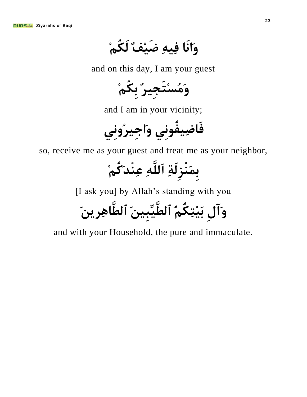وَأَنَا فِيهِ ضَيْفٌ لَكُمْ

and on this day, I am your guest

وَمُسْتَجِيرٌ بِكُمْ

and I am in your vicinity;

فَاضِيفُوني واجير**ُوني** 

so, receive me as your guest and treat me as your neighbor,

بِمَنْزِلَةِ ٱللَّٰهِ عِنْدَكُمْ

[I ask you] by Allah's standing with you

وَآلِ بَيْتِكُم**ُ ٱلطَّيِّبِينَ ٱلطَّاهِرِين**َ

and with your Household, the pure and immaculate.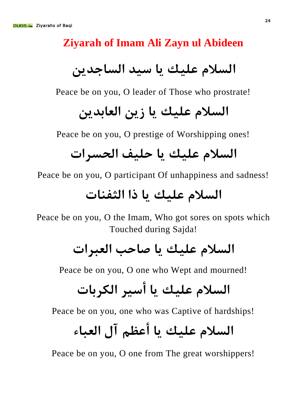#### <span id="page-23-0"></span>**Ziyarah of Imam Ali Zayn ul Abideen**

السلام عليك يا سيد الساجدين

Peace be on you, O leader of Those who prostrate!

### السلام عليك يا زين العابدين

Peace be on you, O prestige of Worshipping ones!

#### **اٌسلَ ع١ٍه ٠ب ز١ٍف اٌسسشاد**

Peace be on you, O participant Of unhappiness and sadness!

### السلام عليك يا ذا الثفنات

Peace be on you, O the Imam, Who got sores on spots which Touched during Sajda!

### **اٌسلَ ع١ٍه ٠ب صبزت اٌعجشاد**

Peace be on you, O one who Wept and mourned!

## السلام عليك يا أسير الكريات

Peace be on you, one who was Captive of hardships!

## **اٌسلَ ع١ٍه ٠ب أعظُ آي اٌعجبء**

Peace be on you, O one from The great worshippers!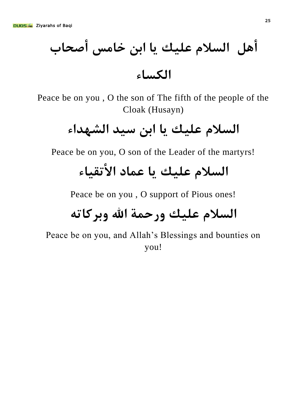## أهل السلام عليك يا ابن خامس أصحاب **اٌىسبء**

Peace be on you , O the son of The fifth of the people of the Cloak (Husayn)

### **اٌسلَ ع١ٍه ٠ب اثٓ س١ذ اٌشٙذاء**

Peace be on you, O son of the Leader of the martyrs!

### السلام عليك يا عماد الأتقىاء

Peace be on you , O support of Pious ones!

### السلام عليك ورحمة الله وبركاته

Peace be on you, and Allah's Blessings and bounties on you!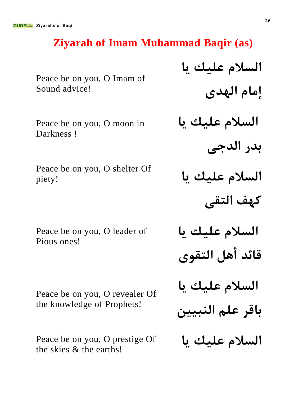#### <span id="page-25-0"></span>**Ziyarah of Imam Muhammad Baqir (as)**

Peace be on you, O Imam of Sound advice!

Peace be on you, O moon in Darkness !

Peace be on you, O shelter Of piety!

Peace be on you, O leader of Pious ones!

Peace be on you, O revealer Of the knowledge of Prophets!

Peace be on you, O prestige Of the skies & the earths!

السلام عليك يا **إِمام الهدي** السلام عليك يا بدر الدجي السلام عليك يا كهف التقي السلام عليك يا قائد أهل التقوى السلام عليك يا باقر علم النبيي<u>ن</u> السلام عليك يا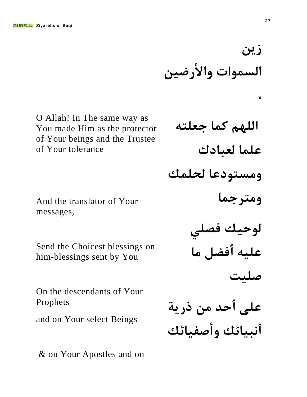O Allah! In The same way as You made Him as the protector of Your beings and the Trustee of Your tolerance

And the translator of Your messages,

Send the Choicest blessings on him-blessings sent by You

On the descendants of Your Prophets

and on Your select Beings

& on Your Apostles and on

اللهم كما جعلته **عٍّب ٌعجبدن ِٚسزٛدعب ٌسٍّه ومترجما** لوحيك فصل<u>ي</u> عليه أفضل ما **ص١ٍذ** على أحد من ذرية **أٔج١بئه ٚأصف١بئه**

السموات والأرضين

**زين** 

**،**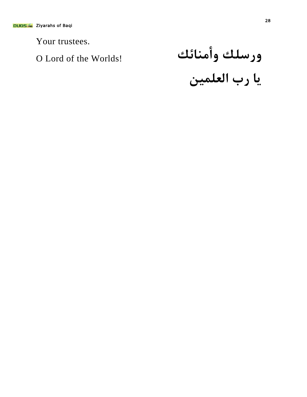Your trustees.

O Lord of the Worlds! **بئهِٕأٚ هٍسسٚ** يا رب العلمين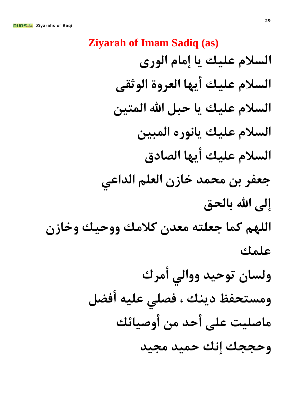<span id="page-28-0"></span>**Ziyarah of Imam Sadiq (as)** السلام عليك يا إمام الوري السلام عليك أيها العروة الوثقي السلام عليك يا حبل الله المتين السلام عليك يانوره المبين السلام عليك أيها الصادق جعفر بن محمد خازن العلم الداع*ي* **إلى الله بالحق** اللهم كما جعلته معدن كلامك ووحيك وخازن **عٍّه** ولسان توحيد ووالى أمرك ومستحفظ دينك ، فصلى عليه أفضل ِماصليت على أحد من أوصيائك **وحججك إنك حميد مجيد**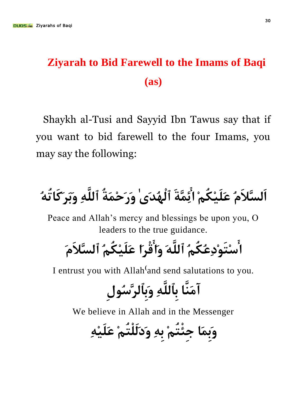#### <span id="page-29-0"></span>**Ziyarah to Bid Farewell to the Imams of Baqi (as)**

Shaykh al-Tusi and Sayyid Ibn Tawus say that if you want to bid farewell to the four Imams, you may say the following:

# اَلسَّلاَمُ عَلَيْكُمْ ائِّمَّةَ ٱلْهُدَىٰ وَرَحْمَةُ ٱللَّهِ وَبَرَكَاتُهُ

Peace and Allah's mercy and blessings be upon you, O leaders to the true guidance.

**اسِزَِٛدِعُىُُُ ٱٌٍََّٗ َٚالْشَا عِ١ٍََىُُُ ٱٌسَّلَََ**

I entrust you with Allah<sup>(</sup>and send salutations to you.

# **إََِّٓب ثِٱٌٍَِّٗ َٚثِٱٌشَّسُٛيِ**

We believe in Allah and in the Messenger

وَبِمَا جِئْتُمْ بِهِ وَدَلَلْتُمْ عَلَيْهِ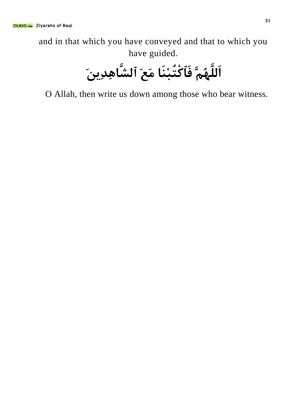and in that which you have conveyed and that to which you have guided.

**اٌٍَََُُّّٙ فَٱوْزُجَِٕب َِعَ ٱٌشَّبِ٘ذَٓ٠ِ**

O Allah, then write us down among those who bear witness.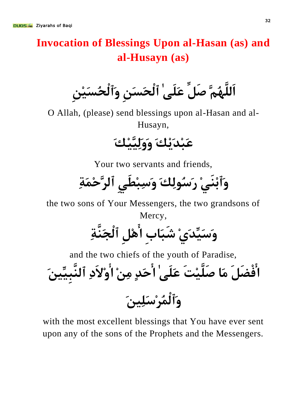#### <span id="page-31-0"></span>**Invocation of Blessings Upon al-Hasan (as) and al-Husayn (as)**

**اٌٍَََُُّّٙ صًَِّ عٍََٰٝ ٱٌْسَسَِٓ َٚٱٌْسُسِِٓ١َ**

O Allah, (please) send blessings upon al-Hasan and al-Husayn,

**عَجِذِ٠َهَ ِ١َّ١ٌََِٚٚهَ**

Your two servants and friends,

وَٱبْنَىْ رَسُولِكَ وَسِبْطَى ٱلرَّحْمَةِ

the two sons of Your Messengers, the two grandsons of Mercy,

# **َٚسِّ١َذَِٞ شَجَبةِ اًِِ٘ ٱٌْدََّٕخِ**

and the two chiefs of the youth of Paradise,

الْفْضَلَ مَا صَلَّيْتَ عَلَىٰ ٰاأَحَدٍ مِنْ ٰاأُوْلاَدِ ٱلنَّبيِّينَ وَٱلْمُرْسَلِبِنَ

with the most excellent blessings that You have ever sent upon any of the sons of the Prophets and the Messengers.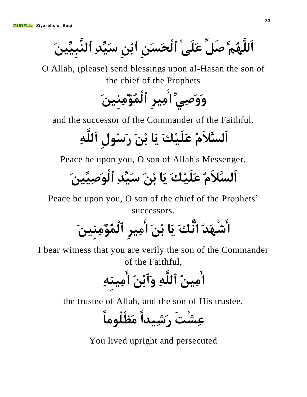**اٌٍَََُُّّٙ صًَِّ عٍََٰٝ ٱٌْسَسَِٓ ٱثِِٓ سِّ١َذِ ٱٌَّٕجَٓ١ِّ١ِ**

O Allah, (please) send blessings upon al-Hasan the son of the chief of the Prophets

وَوَصِّيِّ أُمِيرِ ٱلْمُؤْمِنينَ

and the successor of the Commander of the Faithful.

اَلسَّلاَمُ عَلَيْكَ يَا بْنَ رَسُولِ ٱللَّهِ

Peace be upon you, O son of Allah's Messenger.

**اٌَسَّلََُ عِ١ٍََهَ َ٠ب ثَِٓ سِّ١َذِ ٱٌَْٛصَٓ١ِّ١ِ**

Peace be upon you, O son of the chief of the Prophets' successors.

اَشْهَدُ اَنَّكَ يَا بْنَ ا<sub>ِ</sub>َٔمِيرِ ٱلْمُؤْمِنينَ

I bear witness that you are verily the son of the Commander of the Faithful,

أُمِينُ ٱللَّٰهِ وَٱبْنُ ا<sub>ُ</sub>ْمِينهِ

the trustee of Allah, and the son of His trustee.

عِشْتَ <sub>ل</sub>َِشِيداً مَظْلُوماً

You lived upright and persecuted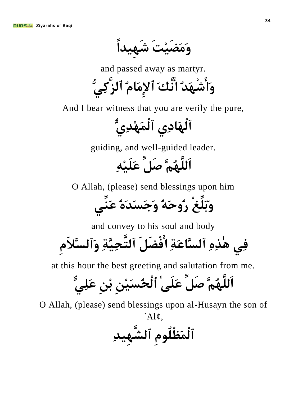**ََِٚضِ١َذَ ش١َِٙذاً**

and passed away as martyr.

**َٚاشَْٙذُ أَّهَ ٱإلَِِبَُ ٱٌضَّوُِّٟ**

And I bear witness that you are verily the pure,

ٱلْهَادِى ٱلْمَهْدِىُّ

guiding, and well-guided leader.

**اٌٍَََُُّّٙ صًَِّ عِِٗ١ٍََ**

O Allah, (please) send blessings upon him

**َٚثٍَِّغْ سُٚزَُٗ َٚخَسَذَُٖ عَِّٕٟ**

and convey to his soul and body

**فِٟ ٰ٘زِِٖ ٱٌسَّبعَخِ افْضًََ ٱٌزَّسَّ١ِخِ َٚٱٌسَّلََِ**

at this hour the best greeting and salutation from me.

**اٌٍَََُُّّٙ صًَِّ عٍََٰٝ ٱٌْسُسِِٓ١َ ثِِٓ عٍٍَِّٟ**

O Allah, (please) send blessings upon al-Husayn the son of *`*Al¢,

ٱلْمَظْلُومِ ٱلشَّهِيدِ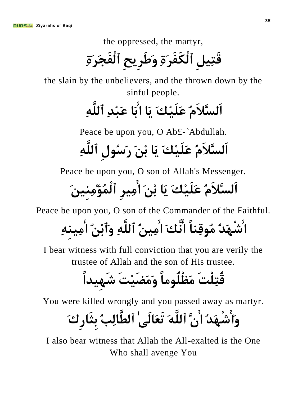the oppressed, the martyr,

قَتِيل ٱلْكَفَر<sup>ِ</sup>ةِ وَطَرِيحِ ٱلْفَجَرَةِ

the slain by the unbelievers, and the thrown down by the sinful people.

## **اٌَسَّلََُ عِ١ٍََهَ َ٠ب اثَب عَجِذِ ٱٌٍَِّٗ**

Peace be upon you, O Ab£-*`*Abdullah.

اَلسَّلاَمُ عَلَيْكَ يَا بْنَ رَسُولِ ٱللَّٰهِ

Peace be upon you, O son of Allah's Messenger.

**اٌَسَّلََُ عِ١ٍََهَ َ٠ب ثَِٓ ا١ِِشِ ٱٌُّْؤَٓ١ِِِِٕ**

Peace be upon you, O son of the Commander of the Faithful.

اُشْهَدُ مُوقِناً انَّكَ ا<sub>ُ</sub>مِينُ ٱللَّهِ وَٱبْنُ اُمِينهِ

I bear witness with full conviction that you are verily the trustee of Allah and the son of His trustee.

قُتِلْتَ مَظْلُوماً وَمَضَيْتَ شَهِيداً

You were killed wrongly and you passed away as martyr.

**َٚاشَْٙذُ اَّْ ٱٌٍََّٗ رَعَبٌَٰٝ ٱٌغَّبٌِتُ ثِثَبسِنَ**

I also bear witness that Allah the All-exalted is the One Who shall avenge You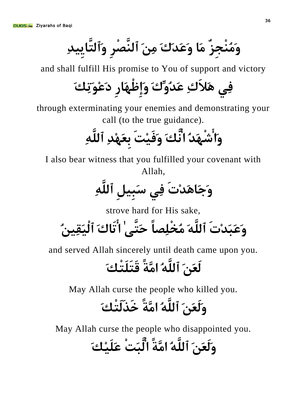وَمُنْجِزٌ مَا وَعَدَكَ مِنَ ٱلنَّصْرِ وَٱلتَّاييدِ

and shall fulfill His promise to You of support and victory

**فِٟ َ٘لَنِ عَذُِّٚنَ َٚإِظَْٙبسِ دَعَِٛرِهَ**

through exterminating your enemies and demonstrating your call (to the true guidance).

**َٚاشَْٙذُ أَّهَ َٚفِ١َذَ ثِعَِٙذِ ٱٌٍَِّٗ**

I also bear witness that you fulfilled your covenant with Allah,

**َٚخَبَ٘ذِدَ فِٟ سَجًِ١ِ ٱٌٍَِّٗ**

strove hard for His sake,

**َٚعَجَذِدَ ٱٌٍََّٗ ُِخٍِْصبً زَزَّٰٝ ارَبنَ ٱَ١ٌْمُٓ١ِ**

and served Allah sincerely until death came upon you.

## **ٌَعََٓ ٱٌٍَُّٗ اَِّخً لَزٍََزْهَ**

May Allah curse the people who killed you.

## **ٌََٚعََٓ ٱٌٍَُّٗ اَِّخً خَزٌََزْهَ**

May Allah curse the people who disappointed you.

## وَلَعَنَ ٱللَّهُ امَّةً الَّبَتْ عَلَيْكَ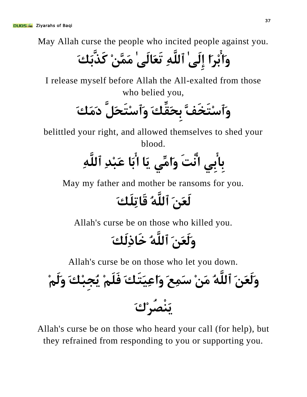May Allah curse the people who incited people against you.

**َٚاثِشَا إٌَِٰٝ ٱٌٍَِّٗ رَعَبٌَٰٝ ََِِّّٓ وَزَّثَهَ**

I release myself before Allah the All-exalted from those who belied you,

**َٚٱسِزَخَفَّ ثِسَمِّهَ َٚٱسِزَسًََّ دََِهَ**

belittled your right, and allowed themselves to shed your blood.

**ثِبثِٟ أْذَ َٚاِِّٟ َ٠ب اثَب عَجِذِ ٱٌٍَِّٗ**

May my father and mother be ransoms for you.

#### لَ**عَنَ ٱللَّهُ قَاتِلَك**َ

Allah's curse be on those who killed you.

### **ٌََٚعََٓ ٱٌٍَُّٗ خَبرٌَِهَ**

Allah's curse be on those who let you down.

**َْٕ٠صُشِنَ ٌََٚعََٓ ٱٌٍَُّٗ َِِٓ سَِّعَ َٚاعَ١ِزَهَ فٍََُِ ُ٠دِجِهَ ٌََُِٚ**

Allah's curse be on those who heard your call (for help), but they refrained from responding to you or supporting you.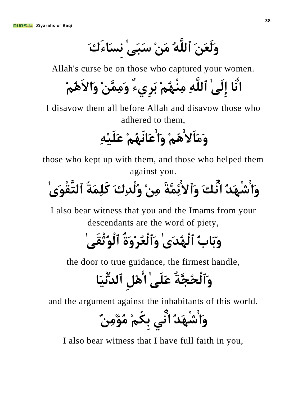**ٌََٚعََٓ ٱٌٍَُّٗ َِِٓ سَجَٰٝ ِٔسَبءَنَ**

Allah's curse be on those who captured your women.

**أَب إٌَِٰٝ ٱٌٍَِّٗ ُُِِِْٕٙ ثَشِٞءٌ ََِِِّّٓٚ َٚاالَُُِ٘**

I disavow them all before Allah and disavow those who adhered to them,

**ََِٚبَالُُِ٘ َٚاعَبَُُِٙٔ عِِٗ١ٍََ**

those who kept up with them, and those who helped them against you.

**َٚاشَْٙذُ أَّهَ َٚٱالئَِّّخَ ِِِٓ ٌُْٚذِنَ وٍََِّخُ ٱٌزَّمَْٰٜٛ**

I also bear witness that you and the Imams from your descendants are the word of piety,

### وَبَابُ ٱلْهُدَىٰ وَٱلْعُرْوَةُ ٱلْوُثْقَىٰ ٰ

the door to true guidance, the firmest handle,

## وَٱلْحُجَّةُ عَلَىٰ ٰا<sup>َ</sup>ٰهْلِ ٱلدُّنْيَا

and the argument against the inhabitants of this world.

**َٚاشَْٙذُ أِّٟ ثِىُُِ ُِؤٌِِِٓ**

I also bear witness that I have full faith in you,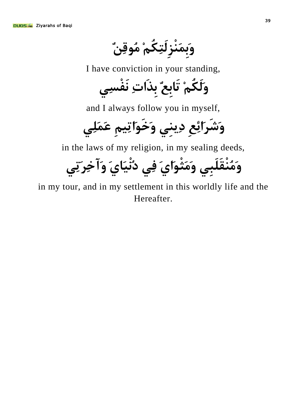وَب*َ*مَنْزِلَتِكُمْ مُوقِنٌ

I have conviction in your standing,

**ٌََٚىُُِ رَبثِعٌ ثِزَادِ َٔفْسِٟ**

and I always follow you in myself,

**وَشَرِائِعِ دِينِي وَخَوَاتِيمِ عَمَلِي** 

in the laws of my religion, in my sealing deeds,

وَمُنْقَلَبِي وَمَثْوَاىَ فِي دُنْيَاىَ وَآخِر*ِ*تِي

in my tour, and in my settlement in this worldly life and the Hereafter.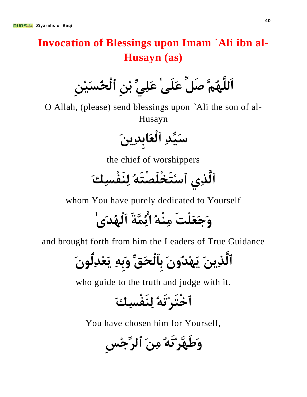#### **Invocation of Blessings upon Imam `Ali ibn al-Husayn (as)**

**اٌٍَََُُّّٙ صًَِّ عٍََٰٝ عٍَِِّٟ ثِِٓ ٱٌْسُسِِٓ١َ**

O Allah, (please) send blessings upon *`*Ali the son of al-Husayn

س*َيِّدِ ٱ*لْعَابدِينَ

the chief of worshippers

**ٱٌَّزِٞ ٱسِزَخٍَْصْزَُٗ ٌَِٕفْسِهَ**

whom You have purely dedicated to Yourself

وَ**حَعَلْتَ مِنْهُ ائِّمَّةَ ٱلْهُد**َى ٰ

and brought forth from him the Leaders of True Guidance

ٱلَّذِينَ يَهْدُونَ بِٱلْحَقِّ وَبِهِ يَعْدِلُونَ

who guide to the truth and judge with it.

**ٱخْزَشِرَُٗ ٌَِٕفْسِهَ**

You have chosen him for Yourself,

**َٚعََّٙشِرَُٗ َِِٓ ٱٌشِّخِسِ**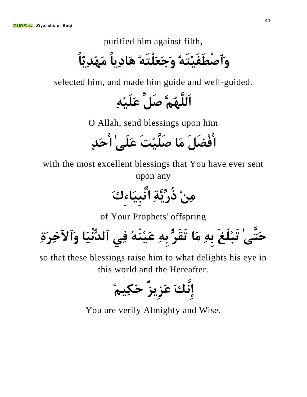purified him against filth,

**َٚٱصْغَفِ١َزَُٗ َٚخَعٍَْزَُٗ َ٘بد٠ِبً َِِٙذّ٠ِبً**

selected him, and made him guide and well-guided.

**اٌٍَََُُّّٙ صًَِّ عِِٗ١ٍََ**

O Allah, send blessings upon him

**افْضًََ َِب صِ١ٍََّذَ عٍََٰٝ ازَذٍ**

with the most excellent blessings that You have ever sent upon any

**ِِِٓ رُسَّ٠ِّخِ أْجَ١ِبءِنَ**

of Your Prophets' offspring

**زَزَّٰٝ رَجٍُِغَ ثِِٗ َِب رَمَشُّ ثِِٗ عُُِٕٗ١َ فِٟ ٱٌذَ١ُّْٔب َٚٱ٢خِشَحِ**

so that these blessings raise him to what delights his eye in this world and the Hereafter.

$$
\stackrel{?}{\leq} \mathcal{L}_{\mathcal{A}}\stackrel{?}{\leq} \mathcal{L}_{\mathcal{A}}\stackrel{?}{\leq}
$$

You are verily Almighty and Wise.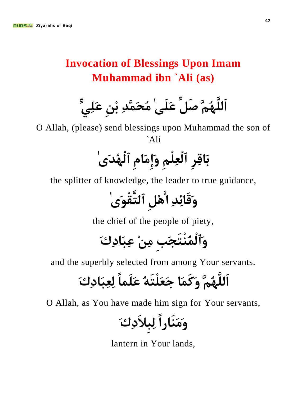#### **Invocation of Blessings Upon Imam Muhammad ibn `Ali (as)**

**اٌٍَََُُّّٙ صًَِّ عٍََٰٝ ُِسََّّذِ ثِِٓ عٍٍَِّٟ**

O Allah, (please) send blessings upon Muhammad the son of *`*Ali

# **ثَبلِشِ ٱٌْعٍُِِْ َٚإَِِبَِ ٱٌُْٙذَٰٜ**

the splitter of knowledge, the leader to true guidance,

**َٚلَبئِذِ اًِِ٘ ٱٌزَّمَْٰٜٛ**

the chief of the people of piety,

**َٚٱٌُّْْٕزَدَتِ ِِِٓ عِجَبدِنَ**

and the superbly selected from among Your servants.

**اٌٍَََُُّّٙ َٚوََّب خَعٍَْزَُٗ عٍََّبً ٌِعِجَبدِنَ**

O Allah, as You have made him sign for Your servants,

**َََِٕٚبساً ٌِجِلَدِنَ**

lantern in Your lands,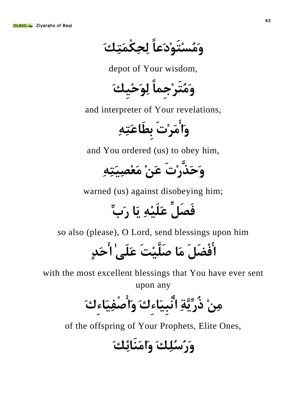**َُِٚسِزَِٛدَعبً ٌِسِىَّْزِهَ**

depot of Your wisdom,

**َُِٚزَشِخِّبً ٌَِٛزِ١ِهَ**

and interpreter of Your revelations,

وَأَمَرْتَ بطَاعَتِهِ

and You ordered (us) to obey him,

**َٚزَزَّسِدَ عَِٓ َِعِصَ١ِزِِٗ**

warned (us) against disobeying him;

**فَصًَِّ عِِٗ١ٍََ َ٠ب سَةِّ**

so also (please), O Lord, send blessings upon him

**افْضًََ َِب صِ١ٍََّذَ عٍََٰٝ ازَذٍ**

with the most excellent blessings that You have ever sent upon any

**ِِِٓ رُسَّ٠ِّخِ أْجَ١ِبءِنَ َٚاصْفَ١ِبءِنَ**

of the offspring of Your Prophets, Elite Ones,

**َٚسُسٍُِهَ َٚإََِبئِهَ**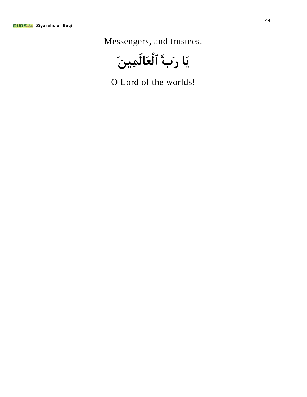Messengers, and trustees.

ِيَ**َا رَبَّ ٱلْعَالَ**مِينَ

O Lord of the worlds!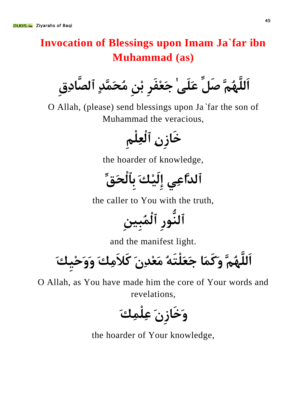#### **Invocation of Blessings upon Imam Ja`far ibn Muhammad (as)**

**اٌٍَََُُّّٙ صًَِّ عٍََٰٝ خَعِفَشِ ثِِٓ ُِسََّّذٍ ٱٌصَّبدِقِ**

O Allah, (please) send blessings upon Ja*`*far the son of Muhammad the veracious,

خَازِنِ ٱلْعِلْمِ

the hoarder of knowledge,

**ٱٌذَّاعِٟ إِ١ٌَِهَ ثِٱٌْسَكِّ**

the caller to You with the truth,

**ٱٌُّٕٛسِ ٱٌُّْجِٓ١ِ**

and the manifest light.

**اٌٍَََُُّّٙ َٚوََّب خَعٍَْزَُٗ َِعِذَِْ وَلَِِهَ ََٚٚزِ١ِهَ**

O Allah, as You have made him the core of Your words and revelations,

**وَخَازِنَ عِلْمِكَ** 

the hoarder of Your knowledge,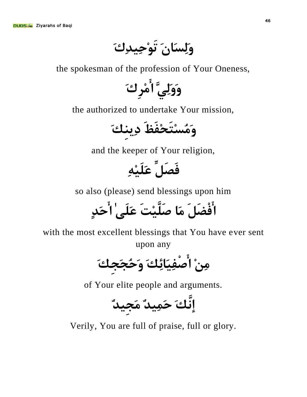**ٌَِٚسَبَْ رَِٛز١ِذِنَ**

the spokesman of the profession of Your Oneness,

**ٌَََِّٟٚٚ اِِشِنَ**

the authorized to undertake Your mission,

**َُِٚسِزَسِفَظَ دِٕ٠ِهَ**

and the keeper of Your religion,

**فَصًَِّ عِِٗ١ٍََ**

so also (please) send blessings upon him

**افْضًََ َِب صِ١ٍََّذَ عٍََٰٝ ازَذٍ**

with the most excellent blessings that You have ever sent upon any

**ِِِٓ اصْفَ١ِبئِهَ َٚزُدَدِهَ**

of Your elite people and arguments.

**إَّٔهَ ز١َِّذٌ َِد١ِذٌ**

Verily, You are full of praise, full or glory.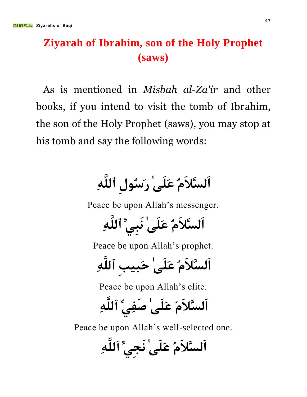#### **Ziyarah of Ibrahim, son of the Holy Prophet (saws)**

As is mentioned in *Misbah al-Za'ir* and other books, if you intend to visit the tomb of Ibrahim, the son of the Holy Prophet (saws), you may stop at his tomb and say the following words:

### اَلسَّلاَمُ عَلَىٰ رَسُولِ ٱللَّه*ِ*

Peace be upon Allah's messenger.

**اٌَسَّلََُ عٍََٰٝ َٔجِِّٟ ٱٌٍَِّٗ**

Peace be upon Allah's prophet.

**اٌَسَّلََُ عٍََٰٝ زَج١تِ ٱٌٍَِّٗ**

Peace be upon Allah's elite.

**اٌَسَّلََُ عٍََٰٝ صَفِِّٟ ٱٌٍَِّٗ**

Peace be upon Allah's well-selected one.

**اٌَسَّلََُ عٍََٰٝ َٔدِِّٟ ٱٌٍَِّٗ**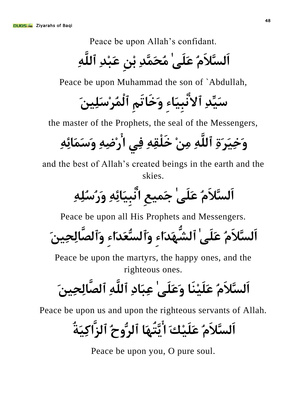Peace be upon Allah's confidant.

**اٌَسَّلََُ عٍََٰٝ ُِسََّّذِ ثِِٓ عَجِذِ ٱٌٍَِّٗ**

Peace be upon Muhammad the son of `Abdullah,

**سِّ١َذِ ٱالْٔجَ١ِبءِ َٚخَبرَُِ ٱٌُّْشِسَٓ١ٍَِ**

the master of the Prophets, the seal of the Messengers,

**َٚخَ١ِشَحِ ٱٌٍَِّٗ ِِِٓ خٍَْمِِٗ فِٟ اسِضِِٗ َٚسََّبئِِٗ**

and the best of Allah's created beings in the earth and the skies.

**اٌَسَّلََُ عٍََٰٝ خ١َّعِ أْجَ١ِبئِِٗ َٚسُسٍُِِٗ**

Peace be upon all His Prophets and Messengers.

اَلسَّلاَمُ عَلَىٰ ٱلشَّهَدَاء<sub>َ</sub> وَٱلسَّعَدَاء وَٱلصَّالِحِينَ

Peace be upon the martyrs, the happy ones, and the righteous ones.

**اٌَسَّلََُ عَِٕ١ٍََب َٚعٍََٰٝ عِجَبدِ ٱٌٍَِّٗ ٱٌصَّبٌِسَٓ١ِ**

Peace be upon us and upon the righteous servants of Allah.

اَلسَّلا<sup>َ</sup>مُ عَلَىْكَ ا<sup>ُ</sup>تَتُّبهَا ٱلرُّوحُ ٱلزَّاكِنَةُ

Peace be upon you, O pure soul.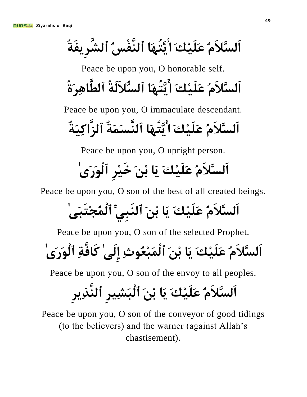اَلسَّلاَمُ عَلَيْكَ ا<sub>َ</sub>ّبَتُّهَا ٱلنَّفْسُ ٱلشَّرِيفَةُ

Peace be upon you, O honorable self. اَلسَّلاَمُ عَلَيْكَ ا<sup>َ</sup>تِّتَّبِهَا ٱلسُّلاَلَةُ ٱلطَّاهِرَةُ

Peace be upon you, O immaculate descendant.

**اٌَسَّلََُ عِ١ٍََهَ اَّ٠زَُٙب ٱٌَّٕسََّخُ ٱٌضَّاوَ١ِخُ**

Peace be upon you, O upright person.

### اَلسَّلاَمُ عَلَيْكَ يَا بْنَ خَيْرِ ٱلْوَرَى

Peace be upon you, O son of the best of all created beings.

## اَلسَّلاَمُ عَلَيْكَ يَا بْنَ ٱلنَبِىِّ ٱلْمُجْتَبَى<sup>'</sup>

Peace be upon you, O son of the selected Prophet.

**اٌَسَّلََُ عِ١ٍََهَ َ٠ب ثَِٓ ٱٌَّْجِعُٛسِ إٌَِٰٝ وَبفَّخِ ٱٌَْٛسَٰٜ**

Peace be upon you, O son of the envoy to all peoples.

## اَلسَّلاَمُ عَلَيْكَ يَا بْنَ ٱلْبَشِيرِ ٱلنَّذِيرِ

Peace be upon you, O son of the conveyor of good tidings (to the believers) and the warner (against Allah's chastisement).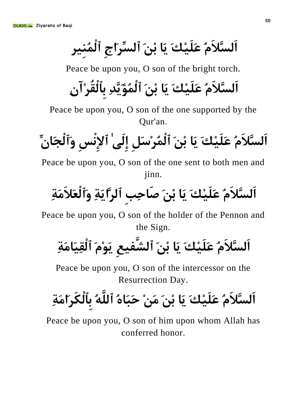اَلسَّلاَمُ عَلَيْكَ يَا بْنَ ٱلسِّرَاجِ ٱلْمُنير

Peace be upon you, O son of the bright torch.

**اٌَسَّلََُ عِ١ٍََهَ َ٠ب ثَِٓ ٱٌُّْؤَّ٠َذِ ثِٱٌْمُشِآِْ**

Peace be upon you, O son of the one supported by the Qur'an.

**اٌَسَّلََُ عِ١ٍََهَ َ٠ب ثَِٓ ٱٌُّْشِسًَِ إٌَِٰٝ ٱإلِْٔسِ َٚٱٌْدَبِّْ**

Peace be upon you, O son of the one sent to both men and jinn.

**اٌَسَّلََُ عِ١ٍََهَ َ٠ب ثَِٓ صَبزِتِ ٱٌشَّاَ٠خِ َٚٱٌْعَلََِخِ**

Peace be upon you, O son of the holder of the Pennon and the Sign.

**اٌَسَّلََُ عِ١ٍََهَ َ٠ب ثَِٓ ٱٌشَّف١عِ َََِٛ٠ ٱٌْمَ١ِبَِخِ**

Peace be upon you, O son of the intercessor on the Resurrection Day.

# اَلسَّلاَمُ عَلَيْكَ يَا بْنَ مَنْ حَبَاهُ ٱللَّهُ بِٱلْكَر*ِ*امَةِ

Peace be upon you, O son of him upon whom Allah has conferred honor.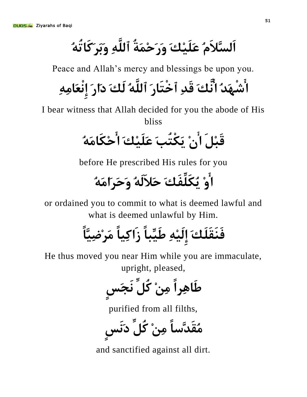اَلسَّلاَمُ عَلَيْكَ وَر<sup>َ</sup>حْمَةُ ٱللَّهِ وَبَرَكَاتُهُ

Peace and Allah's mercy and blessings be upon you.

**اشَْٙذُ أَّهَ لَذِ ٱخْزَبسَ ٱٌٍَُّٗ ٌَهَ دَاسَ إِْٔعَبِِِٗ**

I bear witness that Allah decided for you the abode of His bliss

**لَجًَِ اِْ َ٠ىْزُتَ عِ١ٍََهَ ازِىَبَُِٗ**

before He prescribed His rules for you

### **اِٚ ُ٠ىٍَِّفَهَ زَلٌََُٗ َٚزَشَاَُِٗ**

or ordained you to commit to what is deemed lawful and what is deemed unlawful by Him.

## فَنَقَلَكَ إِلَيْهِ طَيِّباً ز<sup>َ</sup>اكِياً مَرْضِيَّاً

He thus moved you near Him while you are immaculate, upright, pleased,

**عَبِ٘شاً ِِِٓ وًُِّ َٔدَسٍ**

purified from all filths,

**ُِمَذَّسبً ِِِٓ وًُِّ دََٔسٍ**

and sanctified against all dirt.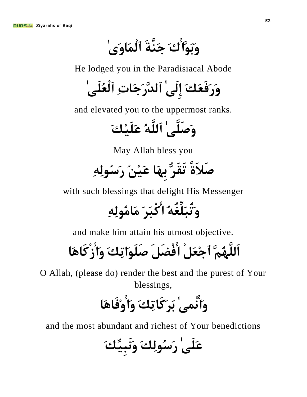و*َبَ*وَّا<sup>َ</sup>ُكَ جَنَّةَ ٱلْمَاوَىٰ

He lodged you in the Paradisiacal Abode

**َٚسَفَعَهَ إٌَِٰٝ ٱٌذَّسَخَبدِ ٱٌْعٍَُٰٝ**

and elevated you to the uppermost ranks.

**َٚصٍََّٰٝ ٱٌٍَُّٗ عِ١ٍََهَ**

May Allah bless you

### صَلاَةً تَقَرُّ بهَا عَيْنُ رَسُولِهِ

with such blessings that delight His Messenger

**َٚرُجٍَِّغُُٗ اوْجَشَ َِبٌُِِِٗٛ**

and make him attain his utmost objective.

**اٌٍَََُُّّٙ ٱخِعًَْ افْضًََ صٍَََٛارِهَ َٚاصْوَبَ٘ب**

O Allah, (please do) render the best and the purest of Your blessings,

## **َٚاّْٰٝٔ ثَشَوَبرِهَ َٚاِٚفَبَ٘ب**

and the most abundant and richest of Your benedictions

**عٍََٰٝ سَسٌُِٛهَ ََٔٚجِّ١ِهَ**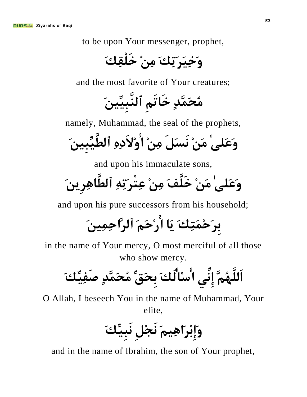to be upon Your messenger, prophet,

**َٚخَ١ِشَرِهَ ِِِٓ خٍَْمِهَ**

and the most favorite of Your creatures;

**ُِسََّّذٍ خَبرَُِ ٱٌَّٕجَٓ١ِّ١ِ**

namely, Muhammad, the seal of the prophets,

**َٚعٍَٰٝ َِِٓ َٔسًََ ِِِٓ اِٚالَدِِٖ ٱٌغِّ١َّجَٓ١ِ**

and upon his immaculate sons,

**َٚعٍَٰٝ َِِٓ خٍََّفَ ِِِٓ عِزْشَرِِٗ ٱٌغَّبِ٘شَٓ٠ِ**

and upon his pure successors from his household;

**ثِشَزَِّزِهَ َ٠ب اسِزََُ ٱٌشَّازَٓ١ِِّ**

in the name of Your mercy, O most merciful of all those who show mercy.

**اٌٍَََُُّّٙ إِِّٟٔ اسِبٌُهَ ثِسَكِّ ُِسََّّذٍ صَفِّ١ِهَ**

O Allah, I beseech You in the name of Muhammad, Your elite,

**َٚإِثِشَاَُ١ِ٘ َٔدًِِ َٔجِّ١ِهَ**

and in the name of Ibrahim, the son of Your prophet,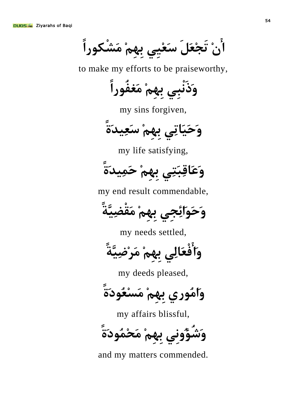ا<sup>ُ</sup>نْ تَجْعَلَ سَعْيي بِهِمْ مَشْكوراً

to make my efforts to be praiseworthy,

**َٚرَْٔجِٟ ثُِِِٙ َِغفُٛساً**

my sins forgiven,

وَحَيَاتِي بِهمْ سَعِيد<sub>َ</sub>ةً

my life satisfying,

**َٚعَبلِجَزِٟ ثُِِِٙ ز١َِّذَحً**

my end result commendable,

وَحَوَائِجِي بِهِمْ مَقْضِيَّةً

my needs settled,

وَأ<sup>َ</sup>فْعَالِي بِهِمْ مَرْضِيَّةً

my deeds pleased,

وَامُوري بِهمْ مَسْعُودَةً

my affairs blissful,

و<sup>َ</sup>شُؤُونى بهمْ مَحْمُودَةً

and my matters commended.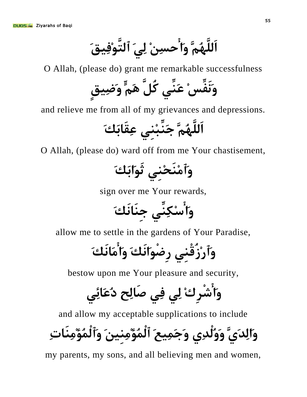اَللَّهُمَّ وَأ<sup>َ</sup>حسِنْ لِيَ ٱلتَّوْفِيقَ

O Allah, (please do) grant me remarkable successfulness

**ََٔٚفِّسِ عَِّٕٟ وًَُّ ٍَُّ٘ َٚض١ِكٍ**

and relieve me from all of my grievances and depressions.

**اٌٍَََُُّّٙ خَِّٕجِِٕٟ عِمَبثَهَ**

O Allah, (please do) ward off from me Your chastisement,

**َٚٱَِِٕسِِٕٟ ثََٛاثَهَ**

sign over me Your rewards,

**َٚاسِىِِّٕٟ خَِٕبَٔهَ**

allow me to settle in the gardens of Your Paradise,

**َٚٱسِصُلِْٕٟ سِضَْٛأَهَ َٚاَِبَٔهَ**

bestow upon me Your pleasure and security,

**َٚاشْشِنِ ٌِٟ فِٟ صَبٌِر دُعَبئِٟ**

and allow my acceptable supplications to include

**َٚاٌِذََّٞ ٌَُْٚٚذِٞ َٚخ١َِّعَ ٱٌُّْؤَٓ١ِِِِٕ َٚٱٌُّْؤَِِِٕبدِ**

my parents, my sons, and all believing men and women,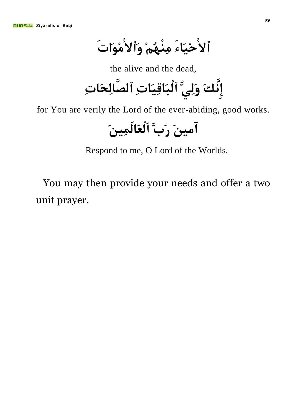ٱلأَحْيَاءَ مِنْهُمْ وَٱلأَمْوَاتَ

the alive and the dead,

**إَِّٔهَ ٌَُِّٟٚ ٱٌْجَبلَ١ِبدِ ٱٌصَّبٌِسَبدِ**

for You are verily the Lord of the ever-abiding, good works.

**آَٓ١ِ سَةَّ ٱٌْعَبَٓ١ٌَِّ**

Respond to me, O Lord of the Worlds.

You may then provide your needs and offer a two unit prayer.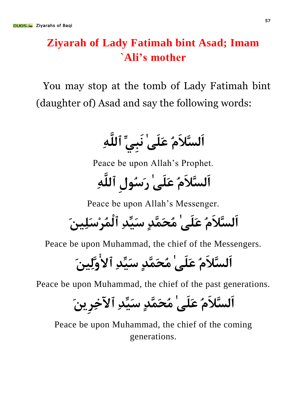#### **Ziyarah of Lady Fatimah bint Asad; Imam `Ali's mother**

You may stop at the tomb of Lady Fatimah bint (daughter of) Asad and say the following words:

**اٌَسَّلََُ عٍََٰٝ َٔجِِّٟ ٱٌٍَِّٗ**

Peace be upon Allah's Prophet.

اَلسَّلاَمُ عَلَىٰ رَسُولِ ٱللَّٰهِ

Peace be upon Allah's Messenger.

**اٌَسَّلََُ عٍََٰٝ ُِسََّّذٍ سِّ١َذِ ٱٌُّْشِسَٓ١ٍَِ**

Peace be upon Muhammad, the chief of the Messengers.

**اٌَسَّلََُ عٍََٰٝ ُِسََّّذٍ سِّ١َذِ ٱالَٓ١ٌَِّٚ**

Peace be upon Muhammad, the chief of the past generations.

**اٌَسَّلََُ عٍََٰٝ ُِسََّّذٍ سِّ١َذِ ٱ٢خِشَٓ٠ِ**

Peace be upon Muhammad, the chief of the coming generations.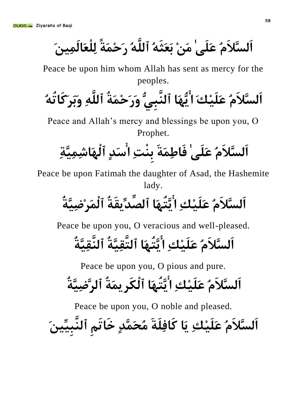اَلسَّلاَمُ عَلَىٰ مَنْ بَعَثَهُ ٱللَّهُ <sub>ل</sub>َحْمَةً لِلْعَالَمِينَ

Peace be upon him whom Allah has sent as mercy for the peoples.

**اٌَسَّلََُ عِ١ٍََهَ اَُّٙ٠ب ٱٌَّٕجُِّٟ َٚسَزَِّخُ ٱٌٍَِّٗ َٚثَشَوَبرُُٗ**

Peace and Allah's mercy and blessings be upon you, O Prophet.

**اٌَسَّلََُ عٍََٰٝ فَبعَِّخَ ثِْٕذِ اسَذٍ ٱٌَْٙبشَّ١ِِّخِ**

Peace be upon Fatimah the daughter of Asad, the Hashemite lady.

**اٌَسَّلََُ عِ١ٍََهِ اَّ٠زَُٙب ٱٌصِّذ٠ِّمَخُ ٱٌَّْشِضَّ١ِخُ**

Peace be upon you, O veracious and well-pleased.

**اٌَسَّلََُ عِ١ٍََهِ اَّ٠زَُٙب ٱٌزَّمَّ١ِخُ ٱٌَّٕمَّ١ِخُ**

Peace be upon you, O pious and pure.

**اٌَسَّلََُ عِ١ٍََهِ اَّ٠زَُٙب ٱٌْىَشَّ٠خُ ٱٌشَّضَّ١ِخُ**

Peace be upon you, O noble and pleased.

اَلسَّلاَمُ عَلَيْكِ يَا كَافِلَةَ مُحَمَّدٍ خَاتَم ٱلنَّبيِّينَ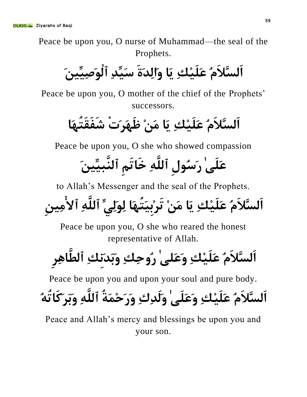Peace be upon you, O nurse of Muhammad—the seal of the Prophets.

اَلسَّلاَمُ عَلَيْكِ يَا وَالِدَةَ سَيِّدِ ٱلْوَصِيِّينَ

Peace be upon you, O mother of the chief of the Prophets' successors.

اَلسَّلاَمُ عَلَيْكِ ِ يَا مَنْ ظَهَرَتْ شَفَقَت*َ* 

Peace be upon you, O she who showed compassion

### عَلَىٰ رَسُولِ ٱللَّهِ خَاتَمِ ٱلنَّبيِّينَ

to Allah's Messenger and the seal of the Prophets.

### اَلسَّلاَمُ عَلَيْكِ يَا مَنْ تَرْبِيَتُّهَا لِوَلِّيِّ ٱللَّهِ ٱلأَمِينِ

Peace be upon you, O she who reared the honest representative of Allah.

## اَلسَّلاَمُ عَلَيْكِ وَعَلىٰ رُوحِكِ وَبَدَنكِ ٱلطَّاهِر

Peace be upon you and upon your soul and pure body.

### اَلسَّلاَمُ عَلَيْكِ وَعَلَّے ٰ وَلَدِكِ وَرَحْمَةُ ٱللَّٰهِ وَرَكَاتُهُ

Peace and Allah's mercy and blessings be upon you and your son.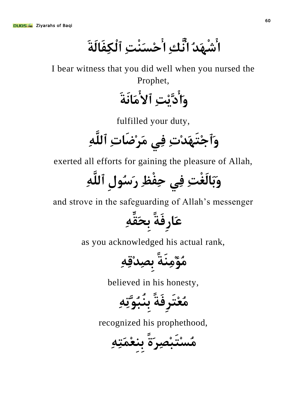ا<sup>َ</sup>شْهَدُ اَنَّكِ ا<sup>ِّ</sup>حْسَنْتِ ٱلْكِفَالَةَ

I bear witness that you did well when you nursed the Prophet,

**َٚادِ٠َّذِ ٱالَِبَٔخَ**

fulfilled your duty,

**َٚٱخِزََٙذِدِ فِٟ َِشِضَبدِ ٱٌٍَِّٗ**

exerted all efforts for gaining the pleasure of Allah,

**َٚثَبٌَغْذِ فِٟ زِفْظِ سَسُٛيِ ٱٌٍَِّٗ**

and strove in the safeguarding of Allah's messenger

عَارِفَةً ب*حَقَّهِ* 

as you acknowledged his actual rank,

**ُِؤَِِِٕخً ثِصِذِلِِٗ**

believed in his honesty,

**ُِعِزَشِفَخً ثُِٕجَُّٛرِِٗ**

recognized his prophethood,

**ُِسِزَجِصِشَحً ثِِٕعَِّزِِٗ**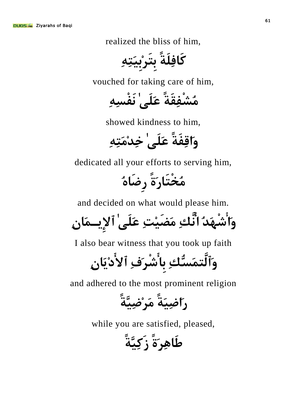realized the bliss of him,

**وَبفٍَِخً ثِزَشِثَ١ِزِِٗ**

vouched for taking care of him,

**ُِشْفِمَخً عٍََٰٝ َٔفْسِِٗ**

showed kindness to him,

وَاقِفَةً ع*َلَى' خِد*ْمَتِهِ

dedicated all your efforts to serving him,

**ُِخْزَبسَحً سِضَبُٖ**

and decided on what would please him.

**َٚاشَْٙذُ أَّهِ َِضِ١َذِ عٍََٰٝ ٱإل٠ِـَّبِْ**

I also bear witness that you took up faith

**َٚٱٌَّزَّسُّهِ ثِبشْشَفِ ٱالدَ٠ِبِْ**

and adhered to the most prominent religion

**سَاضَ١ِخً َِشِضَّ١ِخً**

while you are satisfied, pleased,

**عَبِ٘شَحً صَوَّ١ِخً**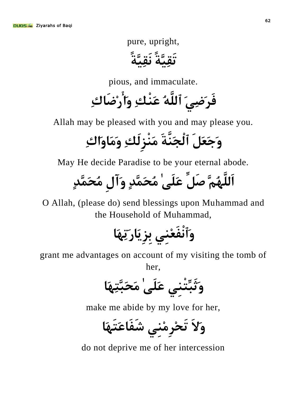pure, upright,

**رَمَّ١ِخً َٔمَّ١ِخً**

pious, and immaculate.

فَر*َض*ِيَ ٱللَّهُ عَنْكِ وَأَرْضَاكِ

Allah may be pleased with you and may please you.

**َٚخَعًََ ٱٌْدََّٕخَ َِْٕضٌَِهِ ََِٚبَٚانِ**

May He decide Paradise to be your eternal abode.

**اٌٍَََُُّّٙ صًَِّ عٍََٰٝ ُِسََّّذٍ َٚآيِ ُِسََّّذٍ**

O Allah, (please do) send blessings upon Muhammad and the Household of Muhammad,

**َٚٱْٔفَعِِٕٟ ثِضَ٠ِبسَرَِٙب**

grant me advantages on account of my visiting the tomb of

her,

**َٚثَجِّزِْٕٟ عٍََٰٝ َِسَجَّزَِٙب**

make me abide by my love for her,

**َٚالَ رَسِشِِِِٕٟ شَفَبعَزََٙب**

do not deprive me of her intercession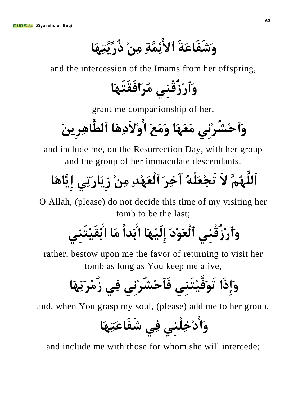وَشَفَاعَةَ ٱلأَئِمَّةِ مِنْ ذُرِّيَّتِهَا

and the intercession of the Imams from her offspring,

**َٚٱسِصُلِْٕٟ ُِشَافَمَزََٙب**

grant me companionship of her,

**َٚٱزِشُشِِٟٔ َِعََٙب ََِٚعَ اِٚالَدَِ٘ب ٱٌغَّبِ٘شَٓ٠ِ**

and include me, on the Resurrection Day, with her group and the group of her immaculate descendants.

**اٌٍَََُُّّٙ الََ رَدِعٍَُْٗ آخِشَ ٱٌْعَِٙذِ ِِِٓ صَ٠ِبسَرِٟ إَّ٠ِبَ٘ب**

O Allah, (please) do not decide this time of my visiting her tomb to be the last;

**َٚٱسِصُلِْٕٟ ٱٌْعَِٛدَ إَِٙ١ٌَِب اثَذاً َِب اثِمِ١َزَِٕٟ**

rather, bestow upon me the favor of returning to visit her tomb as long as You keep me alive,

**َٚإِرَا رََٛفِ١َّزَِٕٟ فَٱزِشُشِِٟٔ فِٟ صُِِشَرَِٙب**

and, when You grasp my soul, (please) add me to her group,

**َٚادِخٍِِْٕٟ فِٟ شَفَبعَزَِٙب**

and include me with those for whom she will intercede;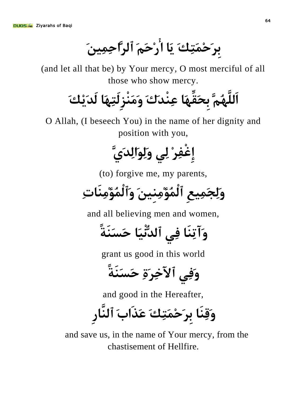برَحْمَتِكَ يَا أَرْحَمَ ٱلرَّاحِمِينَ

(and let all that be) by Your mercy, O most merciful of all those who show mercy.

**اٌٍَََُُّّٙ ثِسَمَِّٙب عِْٕذَنَ ََِْٕٚضٌَِزَِٙب ٌَذِ٠َهَ**

O Allah, (I beseech You) in the name of her dignity and position with you,

**إِغْفِشِ ٌِٟ ٌََِٛٚاٌِذََّٞ**

(to) forgive me, my parents,

**ٌَِٚد١َِّعِ ٱٌُّْؤَٓ١ِِِِٕ َٚٱٌُّْؤَِِِٕبدِ**

and all believing men and women,

**َٚآرَِٕب فِٟ ٱٌذَ١ُّْٔب زَسََٕخً**

grant us good in this world

**وَفِي ٱلآخِرَةِ حَسَنَةً** 

and good in the Hereafter,

وَقِنَا بر**َحْمَتِكَ عَذَاب**َ ٱلنَّار

and save us, in the name of Your mercy, from the chastisement of Hellfire.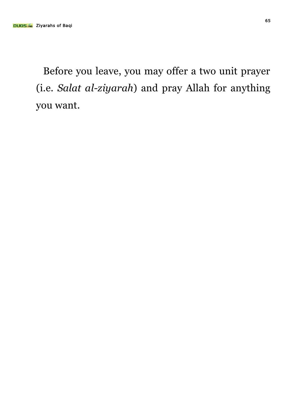Before you leave, you may offer a two unit prayer (i.e. *Salat al-ziyarah*) and pray Allah for anything you want.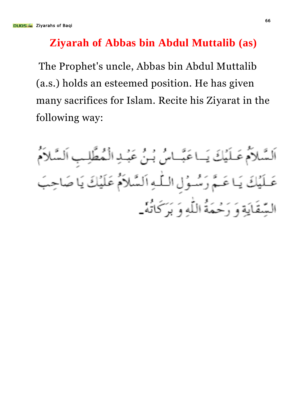#### **Ziyarah of Abbas bin Abdul Muttalib (as)**

The Prophet's uncle, Abbas bin Abdul Muttalib (a.s.) holds an esteemed position. He has given many sacrifices for Islam. Recite his Ziyarat in the following way:

اَلسَّلاَمُ عَـلَيۡكَ يَــاعَبَّــاسُ بُـنُ عَبۡـٰدِ الۡمُطَّلِـبِ اَلسَّلاَمُ يَا عَـمَّ رَسُّـوُلِ الـلّٰهِ اَلسَّلاَمُ عَلَيْكَ يَا صَا السِّقَايَةِ وَ رَحْمَةُ اللَّهِ وَ بَرَكَانَهُ \_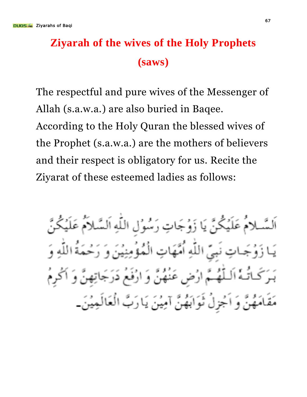#### **Ziyarah of the wives of the Holy Prophets (saws)**

The respectful and pure wives of the Messenger of Allah (s.a.w.a.) are also buried in Baqee. According to the Holy Quran the blessed wives of the Prophet (s.a.w.a.) are the mothers of believers and their respect is obligatory for us. Recite the Ziyarat of these esteemed ladies as follows:

اَلسَّىلامُ عَلَيْكُنَّ يَا زَوُجَاتِ رَسُوُلِ اللَّهِ اَلسَّلاَمُ عَلَيْكُنَّ بِيِّ اللَّهِ أُمَّهَاتِ الْمُؤْمِنِيْنَ وَ رَحْمَةُ اللَّهِ وَ لَّهُمَّ ارْضِ عَنْهُنَّ وَ ارْفَعْ دَرَجَا لمَهُنَّ وَ اَجْزِلُ ثَوَابَهُنَّ آمِيْنَ يَارَبَّ الْعَالَمِيْنَ\_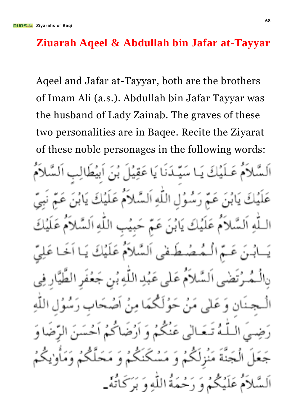#### **Ziuarah Aqeel & Abdullah bin Jafar at-Tayyar**

Aqeel and Jafar at-Tayyar, both are the brothers of Imam Ali (a.s.). Abdullah bin Jafar Tayyar was the husband of Lady Zainab. The graves of these two personalities are in Baqee. Recite the Ziyarat of these noble personages in the following words:ﻠَﻨَﺎ يَا عَقِيَٰ سُوُّلِ اللَّهِ اَلسَّلاَ عَلَيْكَ يَابُنَ عَمَّ حَبِيْبِ اللَّهِ ضطفى السلام عَلَيْكَ لاَمَ عَلَى عَبُدِ اللَّهِ بُن جَعُفَ مَنْ حَوْلَكِمَا مِنْ عَنْكُمْ وَ أَرْضَہ بدء شكت د<br>د و م حْمَةُ اللَّهِ وَ بَرَكَاتُهٗ۔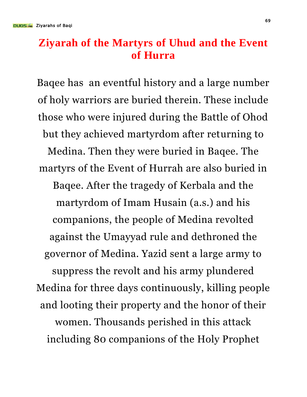#### **Ziyarah of the Martyrs of Uhud and the Event of Hurra**

Baqee has an eventful history and a large number of holy warriors are buried therein. These include those who were injured during the Battle of Ohod but they achieved martyrdom after returning to Medina. Then they were buried in Baqee. The martyrs of the Event of Hurrah are also buried in Baqee. After the tragedy of Kerbala and the martyrdom of Imam Husain (a.s.) and his companions, the people of Medina revolted against the Umayyad rule and dethroned the governor of Medina. Yazid sent a large army to suppress the revolt and his army plundered Medina for three days continuously, killing people and looting their property and the honor of their women. Thousands perished in this attack including 80 companions of the Holy Prophet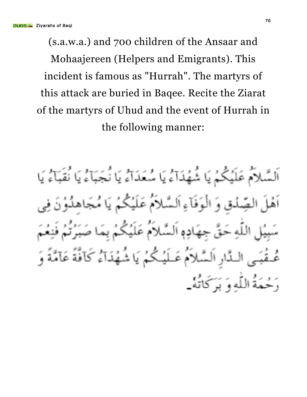(s.a.w.a.) and 700 children of the Ansaar and Mohaajereen (Helpers and Emigrants). This incident is famous as "Hurrah". The martyrs of this attack are buried in Baqee. Recite the Ziarat of the martyrs of Uhud and the event of Hurrah in the following manner:

اَلسَّلاَمُ عَلَيْكُمْ يَا شُهُدَآءُ يَا سُعَدَآءُ يَا نُجَبَآءُ يَا نُفَبَآءُ يَا الصِّدُقِ وَ الْوَفَآءِ اَلسَّلاَمُ عَلَيْكُمْ يَا مُجَاهِدُوْنَ اللَّه حَقٌّ جهَادِهِ اَلسَّلاَمَ عَلَيْكُمُ بِمَا صَا اَلِسَّلاَمُ عَـلَیۡكُمۡ یَا شُهُدَآءُ كَآفَةً عَآمَّةً وَ دَ حْمَةُ اللَّهِ وَ يَهَ كَاتَهْ\_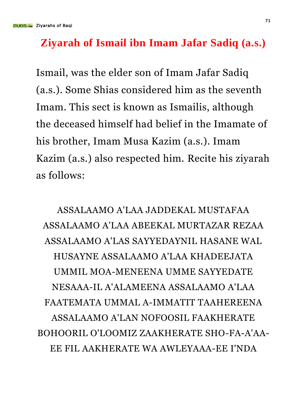#### **Ziyarah of Ismail ibn Imam Jafar Sadiq (a.s.)**

Ismail, was the elder son of Imam Jafar Sadiq (a.s.). Some Shias considered him as the seventh Imam. This sect is known as Ismailis, although the deceased himself had belief in the Imamate of his brother, Imam Musa Kazim (a.s.). Imam Kazim (a.s.) also respected him. Recite his ziyarah as follows:

ASSALAAMO A'LAA JADDEKAL MUSTAFAA ASSALAAMO A'LAA ABEEKAL MURTAZAR REZAA ASSALAAMO A'LAS SAYYEDAYNIL HASANE WAL HUSAYNE ASSALAAMO A'LAA KHADEEJATA UMMIL MOA-MENEENA UMME SAYYEDATE NESAAA-IL A'ALAMEENA ASSALAAMO A'LAA FAATEMATA UMMAL A-IMMATIT TAAHEREENA ASSALAAMO A'LAN NOFOOSIL FAAKHERATE BOHOORIL O'LOOMIZ ZAAKHERATE SHO-FA-A'AA-EE FIL AAKHERATE WA AWLEYAAA-EE I'NDA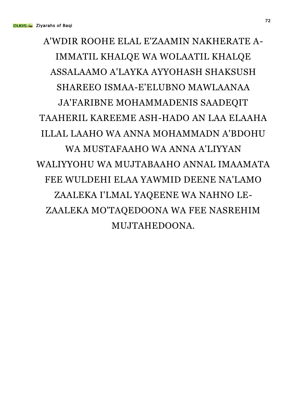#### A'WDIR ROOHE ELAL E'ZAAMIN NAKHERATE A-IMMATIL KHALQE WA WOLAATIL KHALQE ASSALAAMO A'LAYKA AYYOHASH SHAKSUSH SHAREEO ISMAA-E'ELUBNO MAWLAANAA JA'FARIBNE MOHAMMADENIS SAADEQIT TAAHERIL KAREEME ASH-HADO AN LAA ELAAHA ILLAL LAAHO WA ANNA MOHAMMADN A'BDOHU WA MUSTAFAAHO WA ANNA A'LIYYAN WALIYYOHU WA MUJTABAAHO ANNAL IMAAMATA FEE WULDEHI ELAA YAWMID DEENE NA'LAMO ZAALEKA I'LMAL YAQEENE WA NAHNO LE-ZAALEKA MO'TAQEDOONA WA FEE NASREHIM MUJTAHEDOONA.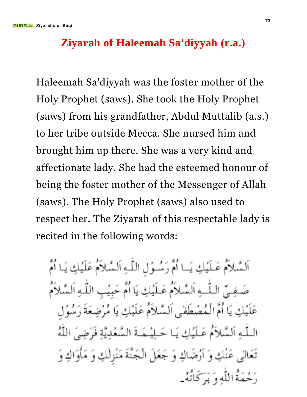## **Ziyarah of Haleemah Sa'diyyah (r.a.)**

Haleemah Sa'diyyah was the foster mother of the Holy Prophet (saws). She took the Holy Prophet (saws) from his grandfather, Abdul Muttalib (a.s.) to her tribe outside Mecca. She nursed him and brought him up there. She was a very kind and affectionate lady. She had the esteemed honour of being the foster mother of the Messenger of Allah (saws). The Holy Prophet (saws) also used to respect her. The Ziyarah of this respectable lady is recited in the following words:

اَلسَّلاَمُ عَلَيْكِ يَـا أُمَّ رَسُـوُلِ اللَّـهِ اَلسَّلاَمُ عَلَيْكِ يَـا أُمَّ صَفِيّ اللّٰـهِ اَلسَّلاَمُ عَلَيُكِ يَا أُمَّ حَبِيُبِ اللّٰهِ اَلسَّلاَمُ عَلَيْكِ يَا أُمَّ الْمُصْطَفى اَلسَّلاَمُ عَلَيْكِ يَا مُرْضِعَةَ رَسُوْل اللَّـٰهِ اَلسَّلاَمُ عَـلَيۡكِ يَـا حَـلِيۡمَـةَ السَّعۡدِيَّةِ فَرَضِيَ اللَّهُ تَعَالَى عَنْكِ وَ ٱرْضَاكِ وَ جَعَلَ الْجَنَّةَ مَنْزِلَكِ وَ مَأْوَاكِ وَ دَ حُيمَةُ اللَّهِ وَ بَهَ كَاتَهُ \_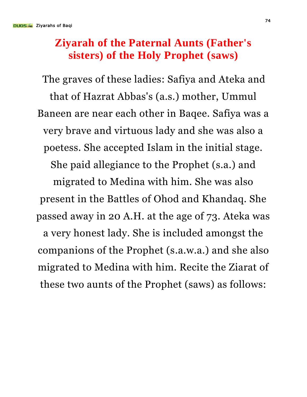## **Ziyarah of the Paternal Aunts (Father's sisters) of the Holy Prophet (saws)**

The graves of these ladies: Safiya and Ateka and that of Hazrat Abbas's (a.s.) mother, Ummul Baneen are near each other in Baqee. Safiya was a very brave and virtuous lady and she was also a poetess. She accepted Islam in the initial stage. She paid allegiance to the Prophet (s.a.) and migrated to Medina with him. She was also present in the Battles of Ohod and Khandaq. She passed away in 20 A.H. at the age of 73. Ateka was a very honest lady. She is included amongst the companions of the Prophet (s.a.w.a.) and she also migrated to Medina with him. Recite the Ziarat of these two aunts of the Prophet (saws) as follows: